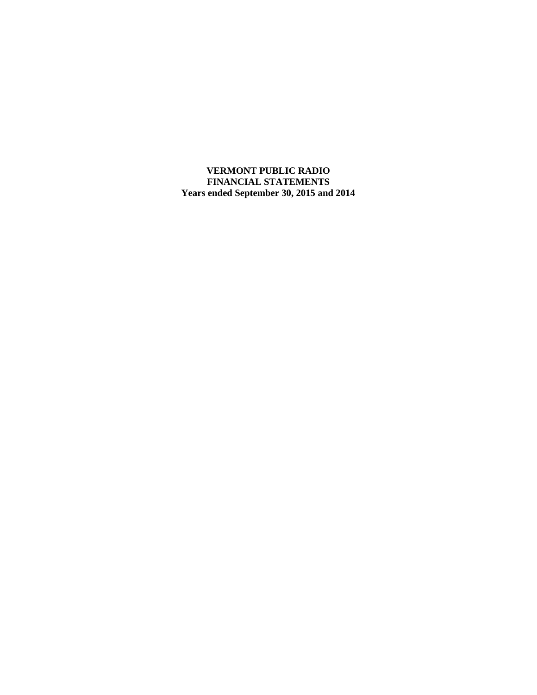**VERMONT PUBLIC RADIO FINANCIAL STATEMENTS Years ended September 30, 2015 and 2014**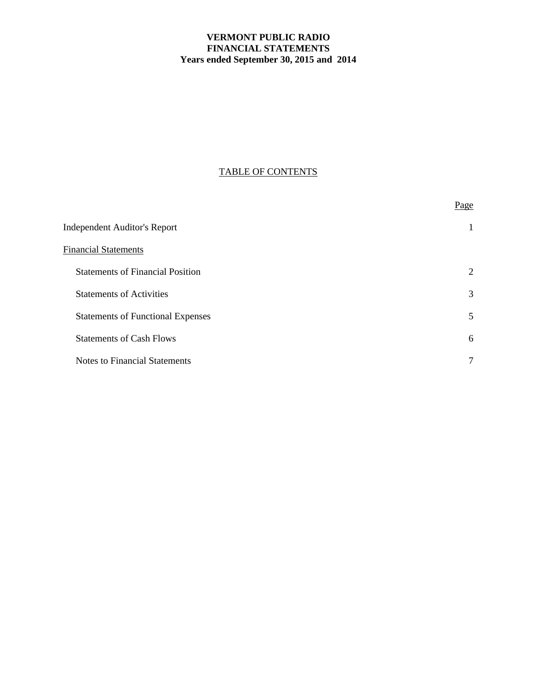# **VERMONT PUBLIC RADIO FINANCIAL STATEMENTS Years ended September 30, 2015 and 2014**

# TABLE OF CONTENTS

|                                          | Page |
|------------------------------------------|------|
| <b>Independent Auditor's Report</b>      | 1    |
| <b>Financial Statements</b>              |      |
| <b>Statements of Financial Position</b>  | 2    |
| <b>Statements of Activities</b>          | 3    |
| <b>Statements of Functional Expenses</b> | 5    |
| <b>Statements of Cash Flows</b>          | 6    |
| <b>Notes to Financial Statements</b>     | 7    |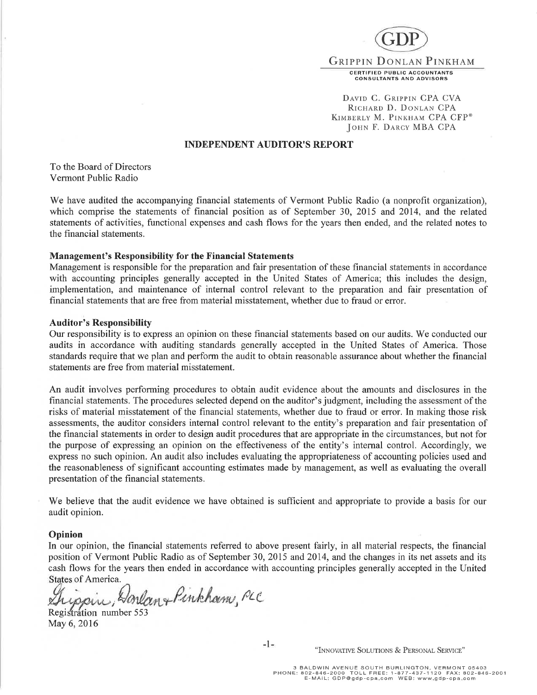

DAVID C. GRIPPIN CPA CVA RICHARD D. DONLAN CPA KIMBERLY M. PINKHAM CPA CFP® JOHN F. DARCY MBA CPA

### INDEPENDENT AUDITOR'S REPORT

To the Board of Directors Vermont Public Radio

We have audited the accompanying financial statements of Vermont Public Radio (a nonprofit organization), which comprise the statements of financial position as of September 30, 2015 and 2014, and the related statements of activities, functional expenses and cash flows for the years then ended, and the related notes to the financial statements.

#### Management's Responsibility for the Financial Statements

Management is responsible for the preparation and fair presentation of these financial statements in accordance with accounting principles generally accepted in the United States of America; this includes the design, implementation, and maintenance of internal control relevant to the preparation and fair presentation of financial statements that are free from material misstatement, whether due to fraud or error.

#### Auditor's Responsibility

Our responsibility is to express an opinion on these financial statements based on our audits. We conducted our audits in accordance with auditing standards generally accepted in the United States of America. Those standards require that we plan and perform the audit to obtain reasonable assurance about whether the financial statements are free from material misstatement.

An audit involves performing procedures to obtain audit evidence about the amounts and disclosures in the financial statements. The procedures selected depend on the auditor's judgment, including the assessment of the risks of material misstatement of the financial statements, whether due to fraud or error. In making those risk assessments, the auditor considers internal control relevant to the entity's preparation and fair presentation of the financial statements in order to design audit procedures that are appropriate in the circumstances, but not for the purpose of expressing an opinion on the effectiveness of the entity's internal control. Accordingly, we express no such opinion. An audit also includes evaluating the appropriateness of accounting policies used and the reasonableness of significant accounting estimates made by management, as well as evaluating the overall presentation of the financial statements.

We believe that the audit evidence we have obtained is sufficient and appropriate to provide a basis for our audit opinion.

#### Opinion

In our opinion, the financial statements referred to above present fairly, in all material respects, the financial position of Vermont Public Radio as of September 30, 2015 and 2014, and the changes in its net assets and its cash flows for the years then ended in accordance with accounting principles generally accepted in the United States of America.

ippin, Horlan+Pinkham, PLC

Registrátion number 553 May 6,2016

"INNOVATIVE SOLUTIONS & PERSONAL SERVICE"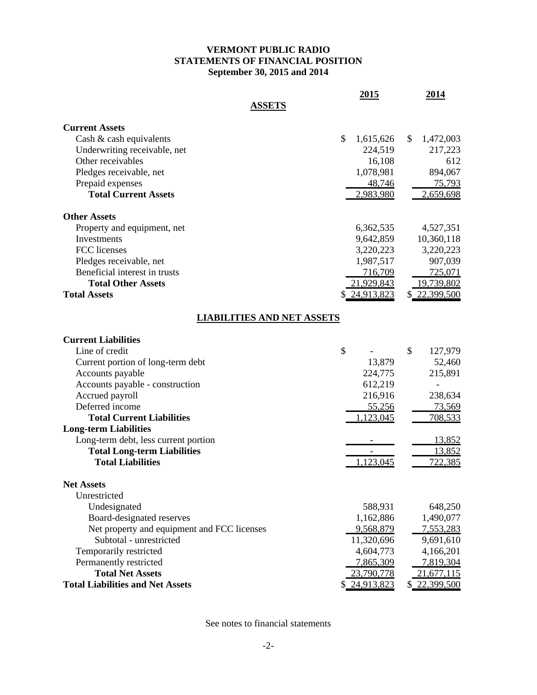## **VERMONT PUBLIC RADIO STATEMENTS OF FINANCIAL POSITION September 30, 2015 and 2014**

|                                             | 2015            | 2014            |
|---------------------------------------------|-----------------|-----------------|
| <b>ASSETS</b>                               |                 |                 |
| <b>Current Assets</b>                       |                 |                 |
| Cash & cash equivalents                     | \$<br>1,615,626 | 1,472,003<br>S. |
| Underwriting receivable, net                | 224,519         | 217,223         |
| Other receivables                           | 16,108          | 612             |
| Pledges receivable, net                     | 1,078,981       | 894,067         |
| Prepaid expenses                            | 48,746          | <u>75,793</u>   |
| <b>Total Current Assets</b>                 | 2,983,980       | 2,659,698       |
| <b>Other Assets</b>                         |                 |                 |
| Property and equipment, net                 | 6,362,535       | 4,527,351       |
| Investments                                 | 9,642,859       | 10,360,118      |
| FCC licenses                                | 3,220,223       | 3,220,223       |
| Pledges receivable, net                     | 1,987,517       | 907,039         |
| Beneficial interest in trusts               | 716,709         | 725,071         |
| <b>Total Other Assets</b>                   | 21,929,843      | 19,739,802      |
| <b>Total Assets</b>                         | \$24,913,823    | \$ 22,399,500   |
| <b>LIABILITIES AND NET ASSETS</b>           |                 |                 |
| <b>Current Liabilities</b>                  |                 |                 |
| Line of credit                              | \$              | \$<br>127,979   |
| Current portion of long-term debt           | 13,879          | 52,460          |
| Accounts payable                            | 224,775         | 215,891         |
| Accounts payable - construction             | 612,219         |                 |
| Accrued payroll                             | 216,916         | 238,634         |
| Deferred income                             | 55,256          | <u>73,569</u>   |
| <b>Total Current Liabilities</b>            | 1,123,045       | 708,533         |
| <b>Long-term Liabilities</b>                |                 |                 |
| Long-term debt, less current portion        |                 | 13,852          |
| <b>Total Long-term Liabilities</b>          |                 | 13,852          |
| <b>Total Liabilities</b>                    | 1,123,045       | 722,385         |
|                                             |                 |                 |
| <b>Net Assets</b>                           |                 |                 |
| Unrestricted                                |                 |                 |
| Undesignated                                | 588,931         | 648,250         |
| Board-designated reserves                   | 1,162,886       | 1,490,077       |
| Net property and equipment and FCC licenses | 9,568,879       | 7,553,283       |
| Subtotal - unrestricted                     | 11,320,696      | 9,691,610       |
| Temporarily restricted                      | 4,604,773       | 4,166,201       |
| Permanently restricted                      | 7,865,309       | 7,819,304       |
| <b>Total Net Assets</b>                     | 23,790,778      | 21,677,115      |
| <b>Total Liabilities and Net Assets</b>     | \$ 24,913,823   | \$ 22,399,500   |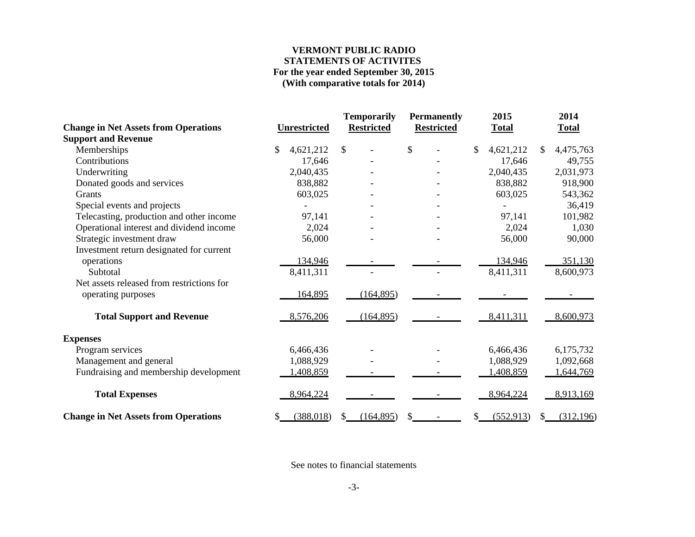## **VERMONT PUBLIC RADIO STATEMENTS OF ACTIVITES For the year ended September 30, 2015 (With comparative totals for 2014)**

|                                             |                     | <b>Temporarily</b> | <b>Permanently</b> | 2015             | 2014             |
|---------------------------------------------|---------------------|--------------------|--------------------|------------------|------------------|
| <b>Change in Net Assets from Operations</b> | <b>Unrestricted</b> | <b>Restricted</b>  | <b>Restricted</b>  | <b>Total</b>     | <b>Total</b>     |
| <b>Support and Revenue</b>                  |                     |                    |                    |                  |                  |
| Memberships                                 | \$<br>4,621,212     | \$                 | \$                 | 4,621,212<br>\$  | 4,475,763<br>\$  |
| Contributions                               | 17,646              |                    |                    | 17,646           | 49,755           |
| Underwriting                                | 2,040,435           |                    |                    | 2,040,435        | 2,031,973        |
| Donated goods and services                  | 838,882             |                    |                    | 838,882          | 918,900          |
| Grants                                      | 603,025             |                    |                    | 603,025          | 543,362          |
| Special events and projects                 |                     |                    |                    |                  | 36,419           |
| Telecasting, production and other income    | 97,141              |                    |                    | 97,141           | 101,982          |
| Operational interest and dividend income    | 2,024               |                    |                    | 2,024            | 1,030            |
| Strategic investment draw                   | 56,000              |                    |                    | 56,000           | 90,000           |
| Investment return designated for current    |                     |                    |                    |                  |                  |
| operations                                  | 134,946             |                    |                    | 134,946          | 351,130          |
| Subtotal                                    | 8,411,311           |                    |                    | 8,411,311        | 8,600,973        |
| Net assets released from restrictions for   |                     |                    |                    |                  |                  |
| operating purposes                          | 164,895             | (164, 895)         |                    |                  |                  |
|                                             |                     |                    |                    |                  |                  |
| <b>Total Support and Revenue</b>            | 8,576,206           | (164, 895)         |                    | 8,411,311        | 8,600,973        |
| <b>Expenses</b>                             |                     |                    |                    |                  |                  |
| Program services                            | 6,466,436           |                    |                    | 6,466,436        | 6,175,732        |
| Management and general                      | 1,088,929           |                    |                    | 1,088,929        | 1,092,668        |
| Fundraising and membership development      | 408,859             |                    |                    | 1,408,859        | 1,644,769        |
| <b>Total Expenses</b>                       | 8,964,224           |                    |                    | 8,964,224        | 8,913,169        |
| <b>Change in Net Assets from Operations</b> | (388,018)<br>\$     | (164, 895)<br>\$.  | S                  | (552, 913)<br>\$ | (312, 196)<br>\$ |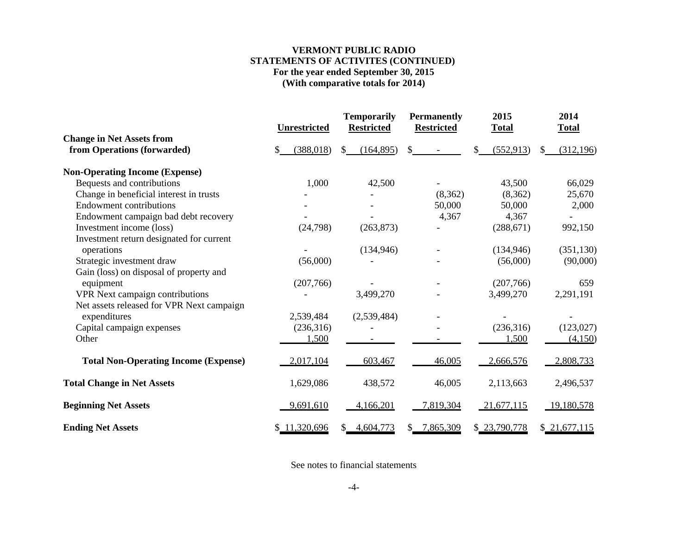## **VERMONT PUBLIC RADIOSTATEMENTS OF ACTIVITES (CONTINUED) For the year ended September 30, 2015 (With comparative totals for 2014)**

|                                                                      | <b>Unrestricted</b> |               | <b>Temporarily</b><br><b>Restricted</b> |         | <b>Permanently</b><br><b>Restricted</b> | 2015<br><b>Total</b> |    | 2014<br><b>Total</b> |
|----------------------------------------------------------------------|---------------------|---------------|-----------------------------------------|---------|-----------------------------------------|----------------------|----|----------------------|
| <b>Change in Net Assets from</b><br>from Operations (forwarded)      | (388, 018)          | <sup>\$</sup> | (164, 895)                              | \$.     |                                         | (552, 913)           | S. | (312, 196)           |
| <b>Non-Operating Income (Expense)</b>                                |                     |               |                                         |         |                                         |                      |    |                      |
| Bequests and contributions                                           | 1,000               |               | 42,500                                  |         |                                         | 43,500               |    | 66,029               |
| Change in beneficial interest in trusts                              |                     |               |                                         |         | (8,362)                                 | (8,362)              |    | 25,670               |
| <b>Endowment contributions</b>                                       |                     |               |                                         |         | 50,000                                  | 50,000               |    | 2,000                |
| Endowment campaign bad debt recovery                                 |                     |               |                                         |         | 4,367                                   | 4,367                |    |                      |
| Investment income (loss)                                             | (24, 798)           |               | (263, 873)                              |         |                                         | (288, 671)           |    | 992,150              |
| Investment return designated for current                             |                     |               |                                         |         |                                         |                      |    |                      |
| operations                                                           |                     |               | (134, 946)                              |         |                                         | (134, 946)           |    | (351, 130)           |
| Strategic investment draw<br>Gain (loss) on disposal of property and | (56,000)            |               |                                         |         |                                         | (56,000)             |    | (90,000)             |
| equipment                                                            | (207,766)           |               |                                         |         |                                         | (207,766)            |    | 659                  |
| VPR Next campaign contributions                                      |                     |               | 3,499,270                               |         |                                         | 3,499,270            |    | 2,291,191            |
| Net assets released for VPR Next campaign                            |                     |               |                                         |         |                                         |                      |    |                      |
| expenditures                                                         | 2,539,484           |               | (2,539,484)                             |         |                                         |                      |    |                      |
| Capital campaign expenses                                            | (236,316)           |               |                                         |         |                                         | (236,316)            |    | (123, 027)           |
| Other                                                                | 1,500               |               |                                         |         |                                         | 1,500                |    | (4,150)              |
| <b>Total Non-Operating Income (Expense)</b>                          | 2,017,104           |               | 603,467                                 |         | 46,005                                  | 2,666,576            |    | 2,808,733            |
| <b>Total Change in Net Assets</b>                                    | 1,629,086           |               | 438,572                                 |         | 46,005                                  | 2,113,663            |    | 2,496,537            |
| <b>Beginning Net Assets</b>                                          | 9,691,610           |               | 4,166,201                               |         | 7,819,304                               | 21,677,115           |    | 19,180,578           |
| <b>Ending Net Assets</b>                                             | \$11,320,696        |               | \$4,604,773                             | $S_{-}$ | 7,865,309                               | \$23,790,778         |    | \$21,677,115         |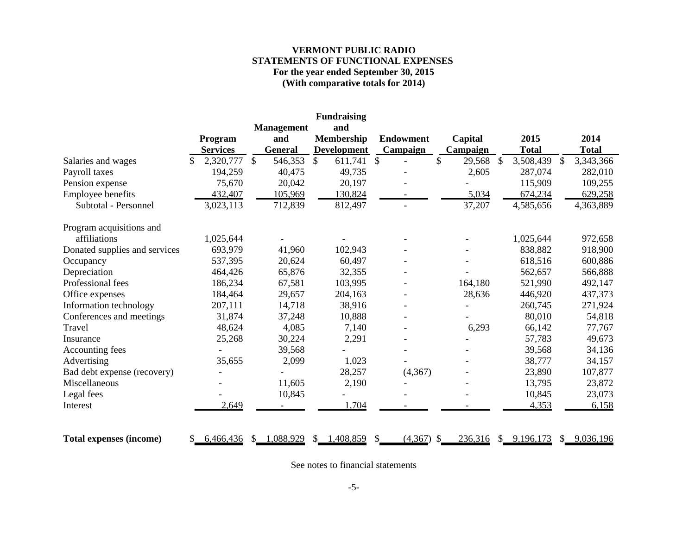## **VERMONT PUBLIC RADIOSTATEMENTS OF FUNCTIONAL EXPENSES For the year ended September 30, 2015 (With comparative totals for 2014)**

|                                |                            |         |              |                       | <b>Fundraising</b>                      |                  |               |                     |   |              |               |              |
|--------------------------------|----------------------------|---------|--------------|-----------------------|-----------------------------------------|------------------|---------------|---------------------|---|--------------|---------------|--------------|
|                                |                            |         |              | <b>Management</b>     | and                                     | <b>Endowment</b> |               |                     |   | 2015         |               | 2014         |
|                                | Program<br><b>Services</b> |         |              | and<br><b>General</b> | <b>Membership</b><br><b>Development</b> | Campaign         |               | Capital<br>Campaign |   | <b>Total</b> |               | <b>Total</b> |
| Salaries and wages             | 2,320,777<br>S.            |         | $\mathbb{S}$ | 546,353               | \$<br>611,741                           | \$               | \$            | 29,568              | S | 3,508,439    | $\mathcal{S}$ | 3,343,366    |
| Payroll taxes                  |                            | 194,259 |              | 40,475                | 49,735                                  |                  |               | 2,605               |   | 287,074      |               | 282,010      |
| Pension expense                |                            | 75,670  |              | 20,042                | 20,197                                  |                  |               |                     |   | 115,909      |               | 109,255      |
| Employee benefits              |                            | 432,407 |              | 105,969               | 130,824                                 |                  |               | 5,034               |   | 674,234      |               | 629,258      |
| Subtotal - Personnel           | 3,023,113                  |         |              | 712,839               | 812,497                                 |                  |               | 37,207              |   | 4,585,656    |               | 4,363,889    |
| Program acquisitions and       |                            |         |              |                       |                                         |                  |               |                     |   |              |               |              |
| affiliations                   | 1,025,644                  |         |              |                       |                                         |                  |               |                     |   | 1,025,644    |               | 972,658      |
| Donated supplies and services  |                            | 693,979 |              | 41,960                | 102,943                                 |                  |               |                     |   | 838,882      |               | 918,900      |
| Occupancy                      |                            | 537,395 |              | 20,624                | 60,497                                  |                  |               |                     |   | 618,516      |               | 600,886      |
| Depreciation                   |                            | 464,426 |              | 65,876                | 32,355                                  |                  |               |                     |   | 562,657      |               | 566,888      |
| Professional fees              |                            | 186,234 |              | 67,581                | 103,995                                 |                  |               | 164,180             |   | 521,990      |               | 492,147      |
| Office expenses                |                            | 184,464 |              | 29,657                | 204,163                                 |                  |               | 28,636              |   | 446,920      |               | 437,373      |
| Information technology         |                            | 207,111 |              | 14,718                | 38,916                                  |                  |               |                     |   | 260,745      |               | 271,924      |
| Conferences and meetings       |                            | 31,874  |              | 37,248                | 10,888                                  |                  |               |                     |   | 80,010       |               | 54,818       |
| Travel                         |                            | 48,624  |              | 4,085                 | 7,140                                   |                  |               | 6,293               |   | 66,142       |               | 77,767       |
| Insurance                      |                            | 25,268  |              | 30,224                | 2,291                                   |                  |               |                     |   | 57,783       |               | 49,673       |
| Accounting fees                |                            |         |              | 39,568                |                                         |                  |               |                     |   | 39,568       |               | 34,136       |
| Advertising                    |                            | 35,655  |              | 2,099                 | 1,023                                   |                  |               |                     |   | 38,777       |               | 34,157       |
| Bad debt expense (recovery)    |                            |         |              |                       | 28,257                                  | (4,367)          |               |                     |   | 23,890       |               | 107,877      |
| Miscellaneous                  |                            |         |              | 11,605                | 2,190                                   |                  |               |                     |   | 13,795       |               | 23,872       |
| Legal fees                     |                            |         |              | 10,845                |                                         |                  |               |                     |   | 10,845       |               | 23,073       |
| Interest                       |                            | 2,649   |              |                       | 1,704                                   |                  |               |                     |   | 4,353        |               | 6,158        |
| <b>Total expenses (income)</b> | 6,466,436<br>S.            |         | \$           | 1,088,929             | \$<br>1,408,859                         | \$<br>(4,367)    | $\mathcal{S}$ | 236,316             |   | \$9,196,173  |               | \$9,036,196  |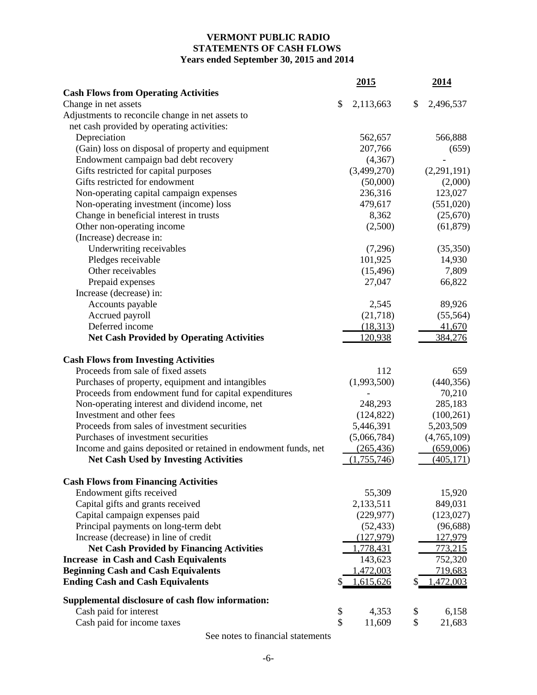# **VERMONT PUBLIC RADIO STATEMENTS OF CASH FLOWS Years ended September 30, 2015 and 2014**

|                                                                | <u>2015</u>     | 2014            |
|----------------------------------------------------------------|-----------------|-----------------|
| <b>Cash Flows from Operating Activities</b>                    |                 |                 |
| Change in net assets                                           | \$<br>2,113,663 | \$<br>2,496,537 |
| Adjustments to reconcile change in net assets to               |                 |                 |
| net cash provided by operating activities:                     |                 |                 |
| Depreciation                                                   | 562,657         | 566,888         |
| (Gain) loss on disposal of property and equipment              | 207,766         | (659)           |
| Endowment campaign bad debt recovery                           | (4,367)         |                 |
| Gifts restricted for capital purposes                          | (3,499,270)     | (2,291,191)     |
| Gifts restricted for endowment                                 | (50,000)        | (2,000)         |
| Non-operating capital campaign expenses                        | 236,316         | 123,027         |
| Non-operating investment (income) loss                         | 479,617         | (551,020)       |
| Change in beneficial interest in trusts                        | 8,362           | (25, 670)       |
| Other non-operating income                                     | (2,500)         | (61, 879)       |
| (Increase) decrease in:                                        |                 |                 |
| Underwriting receivables                                       | (7,296)         | (35, 350)       |
| Pledges receivable                                             | 101,925         | 14,930          |
| Other receivables                                              | (15, 496)       | 7,809           |
| Prepaid expenses                                               | 27,047          | 66,822          |
| Increase (decrease) in:                                        |                 |                 |
| Accounts payable                                               | 2,545           | 89,926          |
| Accrued payroll                                                | (21,718)        | (55, 564)       |
| Deferred income                                                | (18,313)        | 41,670          |
| <b>Net Cash Provided by Operating Activities</b>               | 120,938         | 384,276         |
| <b>Cash Flows from Investing Activities</b>                    |                 |                 |
| Proceeds from sale of fixed assets                             | 112             | 659             |
| Purchases of property, equipment and intangibles               | (1,993,500)     | (440, 356)      |
| Proceeds from endowment fund for capital expenditures          |                 | 70,210          |
| Non-operating interest and dividend income, net                | 248,293         | 285,183         |
| Investment and other fees                                      | (124, 822)      | (100, 261)      |
| Proceeds from sales of investment securities                   | 5,446,391       | 5,203,509       |
| Purchases of investment securities                             | (5,066,784)     | (4,765,109)     |
| Income and gains deposited or retained in endowment funds, net | (265, 436)      | (659,006)       |
| <b>Net Cash Used by Investing Activities</b>                   | (1,755,746)     | (405, 171)      |
| <b>Cash Flows from Financing Activities</b>                    |                 |                 |
| Endowment gifts received                                       | 55,309          | 15,920          |
| Capital gifts and grants received                              | 2,133,511       | 849,031         |
| Capital campaign expenses paid                                 | (229, 977)      | (123, 027)      |
| Principal payments on long-term debt                           | (52, 433)       | (96, 688)       |
| Increase (decrease) in line of credit                          | (127, 979)      | 127,979         |
| <b>Net Cash Provided by Financing Activities</b>               | 1,778,431       | 773,215         |
| <b>Increase in Cash and Cash Equivalents</b>                   | 143,623         | 752,320         |
| <b>Beginning Cash and Cash Equivalents</b>                     | 1,472,003       | 719,683         |
| <b>Ending Cash and Cash Equivalents</b>                        | 1,615,626       | 1,472,003       |
| Supplemental disclosure of cash flow information:              |                 |                 |
| Cash paid for interest                                         | \$<br>4,353     | \$<br>6,158     |
| Cash paid for income taxes                                     | \$<br>11,609    | \$<br>21,683    |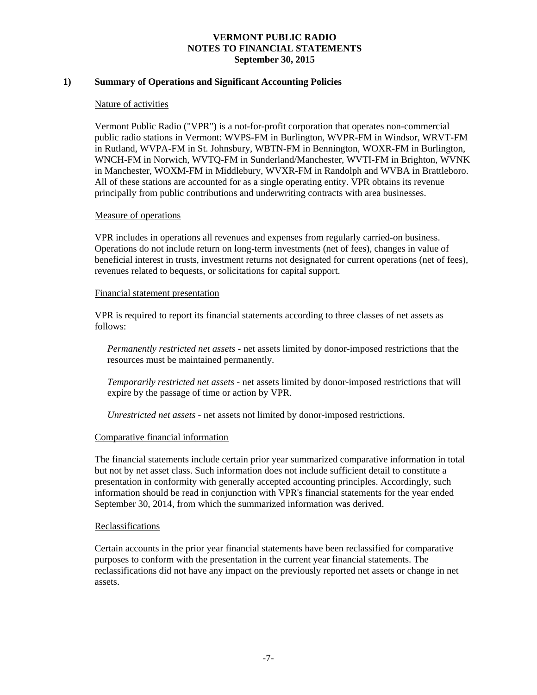## **1) Summary of Operations and Significant Accounting Policies**

### Nature of activities

Vermont Public Radio ("VPR") is a not-for-profit corporation that operates non-commercial public radio stations in Vermont: WVPS-FM in Burlington, WVPR-FM in Windsor, WRVT-FM in Rutland, WVPA-FM in St. Johnsbury, WBTN-FM in Bennington, WOXR-FM in Burlington, WNCH-FM in Norwich, WVTQ-FM in Sunderland/Manchester, WVTI-FM in Brighton, WVNK in Manchester, WOXM-FM in Middlebury, WVXR-FM in Randolph and WVBA in Brattleboro. All of these stations are accounted for as a single operating entity. VPR obtains its revenue principally from public contributions and underwriting contracts with area businesses.

### Measure of operations

VPR includes in operations all revenues and expenses from regularly carried-on business. Operations do not include return on long-term investments (net of fees), changes in value of beneficial interest in trusts, investment returns not designated for current operations (net of fees), revenues related to bequests, or solicitations for capital support.

#### Financial statement presentation

VPR is required to report its financial statements according to three classes of net assets as follows:

*Permanently restricted net assets -* net assets limited by donor-imposed restrictions that the resources must be maintained permanently*.*

*Temporarily restricted net assets -* net assets limited by donor-imposed restrictions that will expire by the passage of time or action by VPR.

*Unrestricted net assets -* net assets not limited by donor-imposed restrictions.

### Comparative financial information

The financial statements include certain prior year summarized comparative information in total but not by net asset class. Such information does not include sufficient detail to constitute a presentation in conformity with generally accepted accounting principles. Accordingly, such information should be read in conjunction with VPR's financial statements for the year ended September 30, 2014, from which the summarized information was derived.

### Reclassifications

Certain accounts in the prior year financial statements have been reclassified for comparative purposes to conform with the presentation in the current year financial statements. The reclassifications did not have any impact on the previously reported net assets or change in net assets.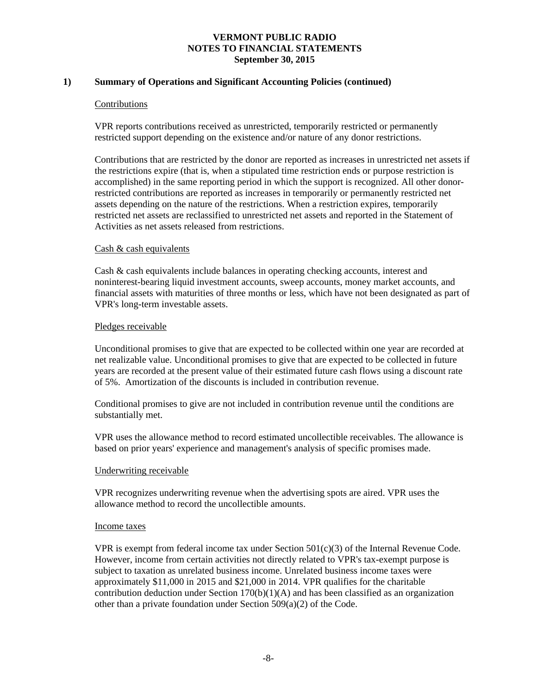## **1) Summary of Operations and Significant Accounting Policies (continued)**

### Contributions

VPR reports contributions received as unrestricted, temporarily restricted or permanently restricted support depending on the existence and/or nature of any donor restrictions.

Contributions that are restricted by the donor are reported as increases in unrestricted net assets if the restrictions expire (that is, when a stipulated time restriction ends or purpose restriction is accomplished) in the same reporting period in which the support is recognized. All other donorrestricted contributions are reported as increases in temporarily or permanently restricted net assets depending on the nature of the restrictions. When a restriction expires, temporarily restricted net assets are reclassified to unrestricted net assets and reported in the Statement of Activities as net assets released from restrictions.

## Cash & cash equivalents

Cash & cash equivalents include balances in operating checking accounts, interest and noninterest-bearing liquid investment accounts, sweep accounts, money market accounts, and financial assets with maturities of three months or less, which have not been designated as part of VPR's long-term investable assets.

## Pledges receivable

Unconditional promises to give that are expected to be collected within one year are recorded at net realizable value. Unconditional promises to give that are expected to be collected in future years are recorded at the present value of their estimated future cash flows using a discount rate of 5%. Amortization of the discounts is included in contribution revenue.

Conditional promises to give are not included in contribution revenue until the conditions are substantially met.

VPR uses the allowance method to record estimated uncollectible receivables. The allowance is based on prior years' experience and management's analysis of specific promises made.

### Underwriting receivable

VPR recognizes underwriting revenue when the advertising spots are aired. VPR uses the allowance method to record the uncollectible amounts.

### Income taxes

VPR is exempt from federal income tax under Section  $501(c)(3)$  of the Internal Revenue Code. However, income from certain activities not directly related to VPR's tax-exempt purpose is subject to taxation as unrelated business income. Unrelated business income taxes were approximately \$11,000 in 2015 and \$21,000 in 2014. VPR qualifies for the charitable contribution deduction under Section  $170(b)(1)(A)$  and has been classified as an organization other than a private foundation under Section 509(a)(2) of the Code.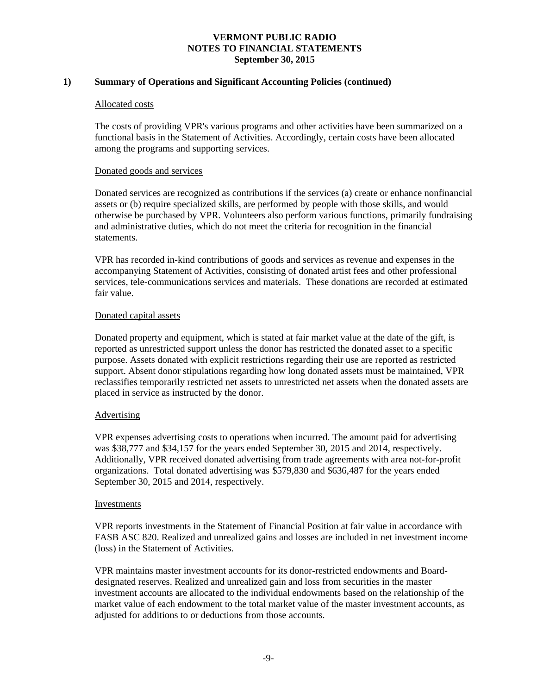## **1) Summary of Operations and Significant Accounting Policies (continued)**

### Allocated costs

The costs of providing VPR's various programs and other activities have been summarized on a functional basis in the Statement of Activities. Accordingly, certain costs have been allocated among the programs and supporting services.

## Donated goods and services

Donated services are recognized as contributions if the services (a) create or enhance nonfinancial assets or (b) require specialized skills, are performed by people with those skills, and would otherwise be purchased by VPR. Volunteers also perform various functions, primarily fundraising and administrative duties, which do not meet the criteria for recognition in the financial statements.

VPR has recorded in-kind contributions of goods and services as revenue and expenses in the accompanying Statement of Activities, consisting of donated artist fees and other professional services, tele-communications services and materials. These donations are recorded at estimated fair value.

## Donated capital assets

Donated property and equipment, which is stated at fair market value at the date of the gift, is reported as unrestricted support unless the donor has restricted the donated asset to a specific purpose. Assets donated with explicit restrictions regarding their use are reported as restricted support. Absent donor stipulations regarding how long donated assets must be maintained, VPR reclassifies temporarily restricted net assets to unrestricted net assets when the donated assets are placed in service as instructed by the donor.

## Advertising

VPR expenses advertising costs to operations when incurred. The amount paid for advertising was \$38,777 and \$34,157 for the years ended September 30, 2015 and 2014, respectively. Additionally, VPR received donated advertising from trade agreements with area not-for-profit organizations. Total donated advertising was \$579,830 and \$636,487 for the years ended September 30, 2015 and 2014, respectively.

### Investments

VPR reports investments in the Statement of Financial Position at fair value in accordance with FASB ASC 820. Realized and unrealized gains and losses are included in net investment income (loss) in the Statement of Activities.

VPR maintains master investment accounts for its donor-restricted endowments and Boarddesignated reserves. Realized and unrealized gain and loss from securities in the master investment accounts are allocated to the individual endowments based on the relationship of the market value of each endowment to the total market value of the master investment accounts, as adjusted for additions to or deductions from those accounts.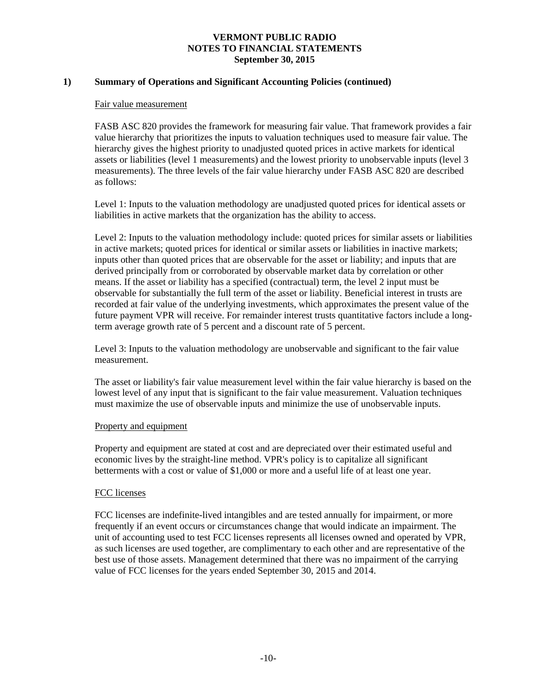## **1) Summary of Operations and Significant Accounting Policies (continued)**

#### Fair value measurement

FASB ASC 820 provides the framework for measuring fair value. That framework provides a fair value hierarchy that prioritizes the inputs to valuation techniques used to measure fair value. The hierarchy gives the highest priority to unadjusted quoted prices in active markets for identical assets or liabilities (level 1 measurements) and the lowest priority to unobservable inputs (level 3 measurements). The three levels of the fair value hierarchy under FASB ASC 820 are described as follows:

Level 1: Inputs to the valuation methodology are unadjusted quoted prices for identical assets or liabilities in active markets that the organization has the ability to access.

Level 2: Inputs to the valuation methodology include: quoted prices for similar assets or liabilities in active markets; quoted prices for identical or similar assets or liabilities in inactive markets; inputs other than quoted prices that are observable for the asset or liability; and inputs that are derived principally from or corroborated by observable market data by correlation or other means. If the asset or liability has a specified (contractual) term, the level 2 input must be observable for substantially the full term of the asset or liability. Beneficial interest in trusts are recorded at fair value of the underlying investments, which approximates the present value of the future payment VPR will receive. For remainder interest trusts quantitative factors include a longterm average growth rate of 5 percent and a discount rate of 5 percent.

Level 3: Inputs to the valuation methodology are unobservable and significant to the fair value measurement.

The asset or liability's fair value measurement level within the fair value hierarchy is based on the lowest level of any input that is significant to the fair value measurement. Valuation techniques must maximize the use of observable inputs and minimize the use of unobservable inputs.

### Property and equipment

Property and equipment are stated at cost and are depreciated over their estimated useful and economic lives by the straight-line method. VPR's policy is to capitalize all significant betterments with a cost or value of \$1,000 or more and a useful life of at least one year.

### FCC licenses

FCC licenses are indefinite-lived intangibles and are tested annually for impairment, or more frequently if an event occurs or circumstances change that would indicate an impairment. The unit of accounting used to test FCC licenses represents all licenses owned and operated by VPR, as such licenses are used together, are complimentary to each other and are representative of the best use of those assets. Management determined that there was no impairment of the carrying value of FCC licenses for the years ended September 30, 2015 and 2014.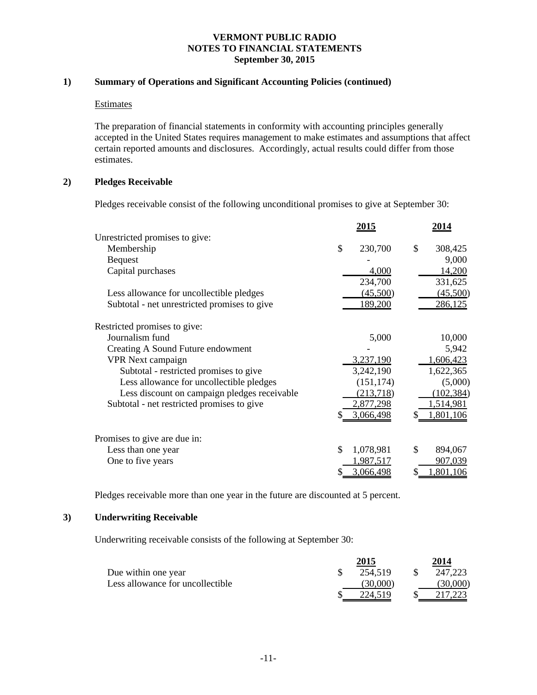## **1) Summary of Operations and Significant Accounting Policies (continued)**

## Estimates

The preparation of financial statements in conformity with accounting principles generally accepted in the United States requires management to make estimates and assumptions that affect certain reported amounts and disclosures. Accordingly, actual results could differ from those estimates.

## **2) Pledges Receivable**

Pledges receivable consist of the following unconditional promises to give at September 30:

|                                              | <u>2015</u>              | 2014           |
|----------------------------------------------|--------------------------|----------------|
| Unrestricted promises to give:               |                          |                |
| Membership                                   | $\mathcal{S}$<br>230,700 | \$<br>308,425  |
| <b>Bequest</b>                               |                          | 9,000          |
| Capital purchases                            | 4,000                    | 14,200         |
|                                              | 234,700                  | 331,625        |
| Less allowance for uncollectible pledges     | (45,500)                 | (45,500)       |
| Subtotal - net unrestricted promises to give | 189,200                  | 286,125        |
| Restricted promises to give:                 |                          |                |
| Journalism fund                              | 5,000                    | 10,000         |
| Creating A Sound Future endowment            |                          | 5,942          |
| <b>VPR</b> Next campaign                     | 3,237,190                | 1,606,423      |
| Subtotal - restricted promises to give       | 3,242,190                | 1,622,365      |
| Less allowance for uncollectible pledges     | (151, 174)               | (5,000)        |
| Less discount on campaign pledges receivable | (213, 718)               | (102, 384)     |
| Subtotal - net restricted promises to give   | 2,877,298                | 1,514,981      |
|                                              | 3,066,498                | 1,801,106      |
| Promises to give are due in:                 |                          |                |
| Less than one year                           | \$<br>1,078,981          | \$<br>894,067  |
| One to five years                            | 1,987,517                | 907,039        |
|                                              | 3,066,498<br>S           | 1,801,106<br>S |

Pledges receivable more than one year in the future are discounted at 5 percent.

## **3) Underwriting Receivable**

Underwriting receivable consists of the following at September 30:

|                                  | 2015     | 2014     |
|----------------------------------|----------|----------|
| Due within one year              | 254,519  | 247,223  |
| Less allowance for uncollectible | (30,000) | (30,000) |
|                                  |          |          |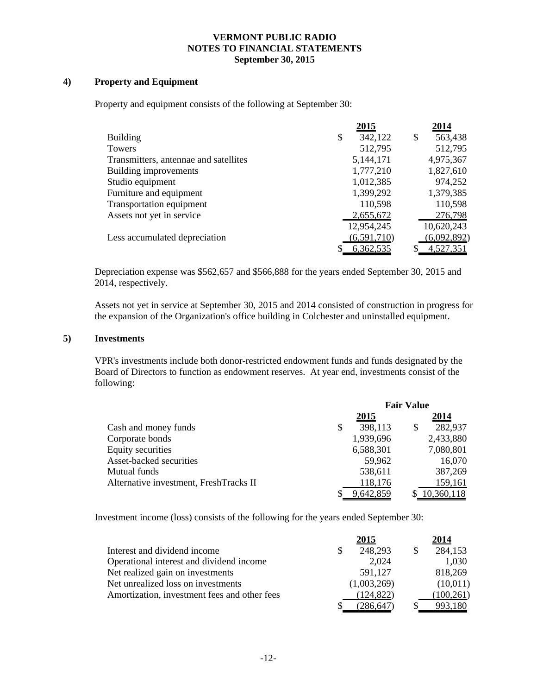## **4) Property and Equipment**

Property and equipment consists of the following at September 30:

|                                       | 2015          | 2014          |
|---------------------------------------|---------------|---------------|
| <b>Building</b>                       | \$<br>342,122 | \$<br>563,438 |
| Towers                                | 512,795       | 512,795       |
| Transmitters, antennae and satellites | 5,144,171     | 4,975,367     |
| Building improvements                 | 1,777,210     | 1,827,610     |
| Studio equipment                      | 1,012,385     | 974,252       |
| Furniture and equipment               | 1,399,292     | 1,379,385     |
| Transportation equipment              | 110,598       | 110,598       |
| Assets not yet in service             | 2,655,672     | 276,798       |
|                                       | 12,954,245    | 10,620,243    |
| Less accumulated depreciation         | (6,591,710)   | (6,092,892)   |
|                                       | 6,362,535     | 4,527,351     |

Depreciation expense was \$562,657 and \$566,888 for the years ended September 30, 2015 and 2014, respectively.

Assets not yet in service at September 30, 2015 and 2014 consisted of construction in progress for the expansion of the Organization's office building in Colchester and uninstalled equipment.

### **5) Investments**

VPR's investments include both donor-restricted endowment funds and funds designated by the Board of Directors to function as endowment reserves. At year end, investments consist of the following:

|                                        | <b>Fair Value</b> |             |   |            |
|----------------------------------------|-------------------|-------------|---|------------|
|                                        |                   | <u>2015</u> |   | 2014       |
| Cash and money funds                   | \$                | 398,113     | S | 282,937    |
| Corporate bonds                        |                   | 1,939,696   |   | 2,433,880  |
| Equity securities                      |                   | 6,588,301   |   | 7,080,801  |
| Asset-backed securities                |                   | 59,962      |   | 16,070     |
| Mutual funds                           |                   | 538,611     |   | 387,269    |
| Alternative investment, FreshTracks II |                   | 118,176     |   | 159,161    |
|                                        |                   | 9,642,859   |   | 10,360,118 |

Investment income (loss) consists of the following for the years ended September 30:

|                                              | <u> 2015</u> | 2014       |
|----------------------------------------------|--------------|------------|
| Interest and dividend income                 | 248,293      | 284,153    |
| Operational interest and dividend income     | 2,024        | 1,030      |
| Net realized gain on investments             | 591,127      | 818,269    |
| Net unrealized loss on investments           | (1,003,269)  | (10,011)   |
| Amortization, investment fees and other fees | (124, 822)   | (100, 261) |
|                                              | (286.647     | 993.180    |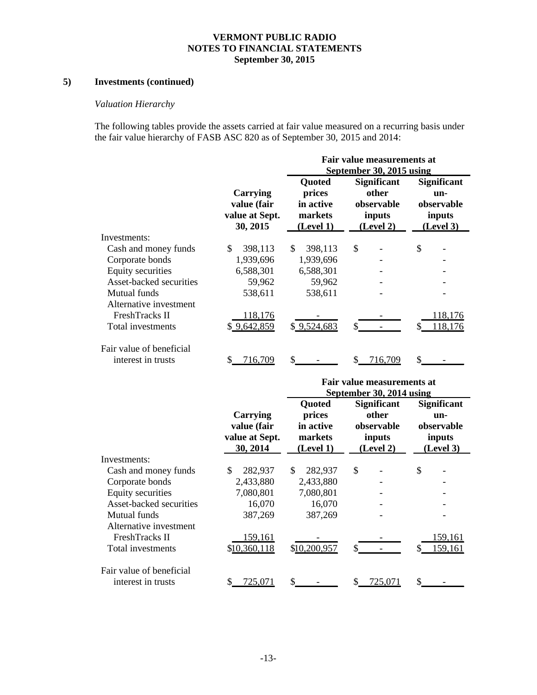# **5) Investments (continued)**

# *Valuation Hierarchy*

The following tables provide the assets carried at fair value measured on a recurring basis under the fair value hierarchy of FASB ASC 820 as of September 30, 2015 and 2014:

|                                                |                                                       | Fair value measurements at<br>September 30, 2015 using       |                                                                  |                                                                |  |  |  |  |
|------------------------------------------------|-------------------------------------------------------|--------------------------------------------------------------|------------------------------------------------------------------|----------------------------------------------------------------|--|--|--|--|
|                                                | Carrying<br>value (fair<br>value at Sept.<br>30, 2015 | <b>Ouoted</b><br>prices<br>in active<br>markets<br>(Level 1) | <b>Significant</b><br>other<br>observable<br>inputs<br>(Level 2) | <b>Significant</b><br>un-<br>observable<br>inputs<br>(Level 3) |  |  |  |  |
| Investments:                                   |                                                       |                                                              |                                                                  |                                                                |  |  |  |  |
| Cash and money funds                           | \$<br>398,113                                         | \$.<br>398,113                                               | \$                                                               | \$                                                             |  |  |  |  |
| Corporate bonds                                | 1,939,696                                             | 1,939,696                                                    |                                                                  |                                                                |  |  |  |  |
| Equity securities                              | 6,588,301                                             | 6,588,301                                                    |                                                                  |                                                                |  |  |  |  |
| Asset-backed securities                        | 59,962                                                | 59,962                                                       |                                                                  |                                                                |  |  |  |  |
| Mutual funds<br>Alternative investment         | 538,611                                               | 538,611                                                      |                                                                  |                                                                |  |  |  |  |
| FreshTracks II<br>Total investments            | 118,176<br>\$9,642,859                                | \$9,524,683                                                  | \$                                                               | 118,176<br>118,176<br>S                                        |  |  |  |  |
| Fair value of beneficial<br>interest in trusts | 716,709<br>S                                          | \$.                                                          | 716.709                                                          | S.                                                             |  |  |  |  |

|                                                |                                                              | Fair value measurements at<br>September 30, 2014 using       |                                                                  |                                                                  |  |  |
|------------------------------------------------|--------------------------------------------------------------|--------------------------------------------------------------|------------------------------------------------------------------|------------------------------------------------------------------|--|--|
|                                                | <b>Carrying</b><br>value (fair<br>value at Sept.<br>30, 2014 | <b>Quoted</b><br>prices<br>in active<br>markets<br>(Level 1) | <b>Significant</b><br>other<br>observable<br>inputs<br>(Level 2) | <b>Significant</b><br>$un-$<br>observable<br>inputs<br>(Level 3) |  |  |
| Investments:                                   |                                                              |                                                              |                                                                  |                                                                  |  |  |
| Cash and money funds                           | \$<br>282,937                                                | \$.<br>282,937                                               | \$                                                               | \$                                                               |  |  |
| Corporate bonds                                | 2,433,880                                                    | 2,433,880                                                    |                                                                  |                                                                  |  |  |
| Equity securities                              | 7,080,801                                                    | 7,080,801                                                    |                                                                  |                                                                  |  |  |
| Asset-backed securities                        | 16,070                                                       | 16,070                                                       |                                                                  |                                                                  |  |  |
| Mutual funds                                   | 387,269                                                      | 387,269                                                      |                                                                  |                                                                  |  |  |
| Alternative investment                         |                                                              |                                                              |                                                                  |                                                                  |  |  |
| FreshTracks II                                 | 159,161                                                      |                                                              |                                                                  | 159,161                                                          |  |  |
| Total investments                              | \$10,360,118                                                 | \$10,200,957                                                 | \$                                                               | 159,161<br>\$                                                    |  |  |
| Fair value of beneficial<br>interest in trusts | \$<br>725.071                                                | S.                                                           | 725.071                                                          | \$                                                               |  |  |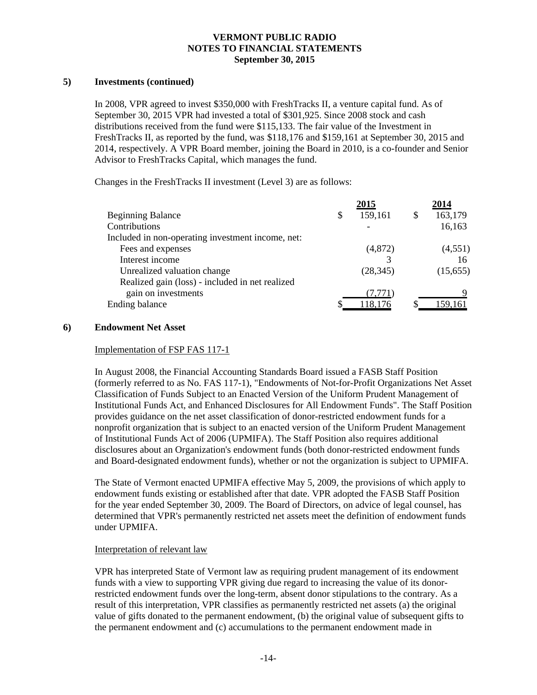## **5) Investments (continued)**

In 2008, VPR agreed to invest \$350,000 with FreshTracks II, a venture capital fund. As of September 30, 2015 VPR had invested a total of \$301,925. Since 2008 stock and cash distributions received from the fund were \$115,133. The fair value of the Investment in FreshTracks II, as reported by the fund, was \$118,176 and \$159,161 at September 30, 2015 and 2014, respectively. A VPR Board member, joining the Board in 2010, is a co-founder and Senior Advisor to FreshTracks Capital, which manages the fund.

Changes in the FreshTracks II investment (Level 3) are as follows:

|   | 2015      |   | 2014     |
|---|-----------|---|----------|
| S | 159,161   | S | 163,179  |
|   |           |   | 16,163   |
|   |           |   |          |
|   | (4,872)   |   | (4,551)  |
|   |           |   | 16       |
|   | (28, 345) |   | (15,655) |
|   |           |   |          |
|   | (7, 771)  |   |          |
|   | 118,176   |   | 159,161  |
|   |           |   |          |

## **6) Endowment Net Asset**

## Implementation of FSP FAS 117-1

In August 2008, the Financial Accounting Standards Board issued a FASB Staff Position (formerly referred to as No. FAS 117-1), "Endowments of Not-for-Profit Organizations Net Asset Classification of Funds Subject to an Enacted Version of the Uniform Prudent Management of Institutional Funds Act, and Enhanced Disclosures for All Endowment Funds". The Staff Position provides guidance on the net asset classification of donor-restricted endowment funds for a nonprofit organization that is subject to an enacted version of the Uniform Prudent Management of Institutional Funds Act of 2006 (UPMIFA). The Staff Position also requires additional disclosures about an Organization's endowment funds (both donor-restricted endowment funds and Board-designated endowment funds), whether or not the organization is subject to UPMIFA.

The State of Vermont enacted UPMIFA effective May 5, 2009, the provisions of which apply to endowment funds existing or established after that date. VPR adopted the FASB Staff Position for the year ended September 30, 2009. The Board of Directors, on advice of legal counsel, has determined that VPR's permanently restricted net assets meet the definition of endowment funds under UPMIFA.

## Interpretation of relevant law

VPR has interpreted State of Vermont law as requiring prudent management of its endowment funds with a view to supporting VPR giving due regard to increasing the value of its donorrestricted endowment funds over the long-term, absent donor stipulations to the contrary. As a result of this interpretation, VPR classifies as permanently restricted net assets (a) the original value of gifts donated to the permanent endowment, (b) the original value of subsequent gifts to the permanent endowment and (c) accumulations to the permanent endowment made in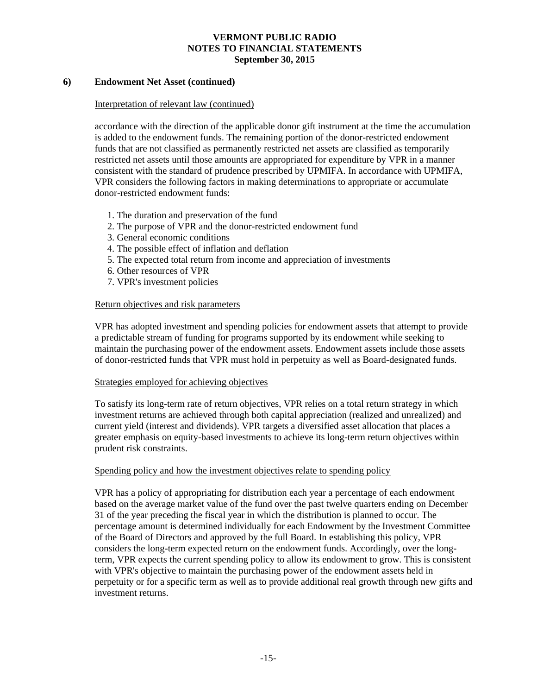## **6) Endowment Net Asset (continued)**

### Interpretation of relevant law (continued)

accordance with the direction of the applicable donor gift instrument at the time the accumulation is added to the endowment funds. The remaining portion of the donor-restricted endowment funds that are not classified as permanently restricted net assets are classified as temporarily restricted net assets until those amounts are appropriated for expenditure by VPR in a manner consistent with the standard of prudence prescribed by UPMIFA. In accordance with UPMIFA, VPR considers the following factors in making determinations to appropriate or accumulate donor-restricted endowment funds:

- 1. The duration and preservation of the fund
- 2. The purpose of VPR and the donor-restricted endowment fund
- 3. General economic conditions
- 4. The possible effect of inflation and deflation
- 5. The expected total return from income and appreciation of investments
- 6. Other resources of VPR
- 7. VPR's investment policies

## Return objectives and risk parameters

VPR has adopted investment and spending policies for endowment assets that attempt to provide a predictable stream of funding for programs supported by its endowment while seeking to maintain the purchasing power of the endowment assets. Endowment assets include those assets of donor-restricted funds that VPR must hold in perpetuity as well as Board-designated funds.

### Strategies employed for achieving objectives

To satisfy its long-term rate of return objectives, VPR relies on a total return strategy in which investment returns are achieved through both capital appreciation (realized and unrealized) and current yield (interest and dividends). VPR targets a diversified asset allocation that places a greater emphasis on equity-based investments to achieve its long-term return objectives within prudent risk constraints.

### Spending policy and how the investment objectives relate to spending policy

VPR has a policy of appropriating for distribution each year a percentage of each endowment based on the average market value of the fund over the past twelve quarters ending on December 31 of the year preceding the fiscal year in which the distribution is planned to occur. The percentage amount is determined individually for each Endowment by the Investment Committee of the Board of Directors and approved by the full Board. In establishing this policy, VPR considers the long-term expected return on the endowment funds. Accordingly, over the longterm, VPR expects the current spending policy to allow its endowment to grow. This is consistent with VPR's objective to maintain the purchasing power of the endowment assets held in perpetuity or for a specific term as well as to provide additional real growth through new gifts and investment returns.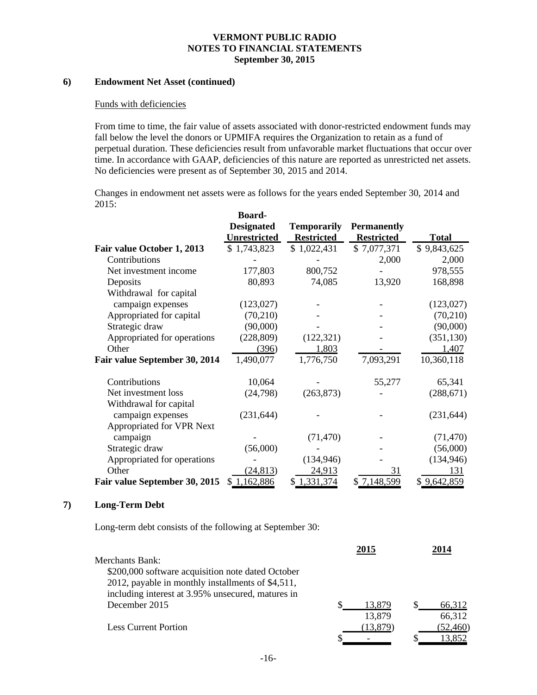## **6) Endowment Net Asset (continued)**

#### Funds with deficiencies

From time to time, the fair value of assets associated with donor-restricted endowment funds may fall below the level the donors or UPMIFA requires the Organization to retain as a fund of perpetual duration. These deficiencies result from unfavorable market fluctuations that occur over time. In accordance with GAAP, deficiencies of this nature are reported as unrestricted net assets. No deficiencies were present as of September 30, 2015 and 2014.

Changes in endowment net assets were as follows for the years ended September 30, 2014 and 2015:

|                               | Board-              |                    |                    |              |
|-------------------------------|---------------------|--------------------|--------------------|--------------|
|                               | <b>Designated</b>   | <b>Temporarily</b> | <b>Permanently</b> |              |
|                               | <b>Unrestricted</b> | <b>Restricted</b>  | <b>Restricted</b>  | <b>Total</b> |
| Fair value October 1, 2013    | \$1,743,823         | \$1,022,431        | \$7,077,371        | \$9,843,625  |
| Contributions                 |                     |                    | 2,000              | 2,000        |
| Net investment income         | 177,803             | 800,752            |                    | 978,555      |
| Deposits                      | 80,893              | 74,085             | 13,920             | 168,898      |
| Withdrawal for capital        |                     |                    |                    |              |
| campaign expenses             | (123, 027)          |                    |                    | (123,027)    |
| Appropriated for capital      | (70, 210)           |                    |                    | (70, 210)    |
| Strategic draw                | (90,000)            |                    |                    | (90,000)     |
| Appropriated for operations   | (228, 809)          | (122, 321)         |                    | (351, 130)   |
| Other                         | (396)               | 1,803              |                    | 1,407        |
| Fair value September 30, 2014 | 1,490,077           | 1,776,750          | 7,093,291          | 10,360,118   |
| Contributions                 | 10,064              |                    | 55,277             | 65,341       |
| Net investment loss           | (24,798)            | (263, 873)         |                    | (288, 671)   |
| Withdrawal for capital        |                     |                    |                    |              |
| campaign expenses             | (231, 644)          |                    |                    | (231, 644)   |
| Appropriated for VPR Next     |                     |                    |                    |              |
| campaign                      |                     | (71, 470)          |                    | (71, 470)    |
| Strategic draw                | (56,000)            |                    |                    | (56,000)     |
| Appropriated for operations   |                     | (134, 946)         |                    | (134, 946)   |
| Other                         | (24, 813)           | 24,913             | 31                 | 131          |
| Fair value September 30, 2015 | \$1,162,886         | \$1,331,374        | \$7,148,599        | \$9,642,859  |

### **7) Long-Term Debt**

Long-term debt consists of the following at September 30:

|                                                   | 2015     | 2014      |
|---------------------------------------------------|----------|-----------|
| Merchants Bank:                                   |          |           |
| \$200,000 software acquisition note dated October |          |           |
| 2012, payable in monthly installments of \$4,511, |          |           |
| including interest at 3.95% unsecured, matures in |          |           |
| December 2015                                     | 13,879   | 66,312    |
|                                                   | 13,879   | 66,312    |
| Less Current Portion                              | (13,879) | (52, 460) |
|                                                   |          | 13,852    |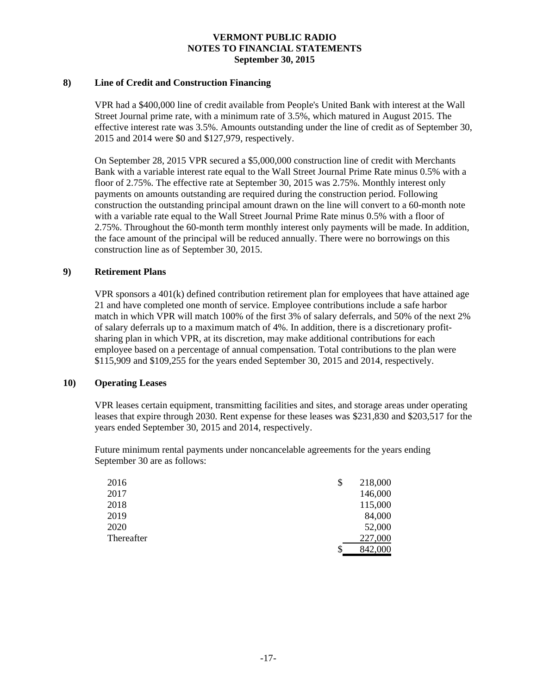### **8) Line of Credit and Construction Financing**

VPR had a \$400,000 line of credit available from People's United Bank with interest at the Wall Street Journal prime rate, with a minimum rate of 3.5%, which matured in August 2015. The effective interest rate was 3.5%. Amounts outstanding under the line of credit as of September 30, 2015 and 2014 were \$0 and \$127,979, respectively.

On September 28, 2015 VPR secured a \$5,000,000 construction line of credit with Merchants Bank with a variable interest rate equal to the Wall Street Journal Prime Rate minus 0.5% with a floor of 2.75%. The effective rate at September 30, 2015 was 2.75%. Monthly interest only payments on amounts outstanding are required during the construction period. Following construction the outstanding principal amount drawn on the line will convert to a 60-month note with a variable rate equal to the Wall Street Journal Prime Rate minus 0.5% with a floor of 2.75%. Throughout the 60-month term monthly interest only payments will be made. In addition, the face amount of the principal will be reduced annually. There were no borrowings on this construction line as of September 30, 2015.

## **9) Retirement Plans**

VPR sponsors a 401(k) defined contribution retirement plan for employees that have attained age 21 and have completed one month of service. Employee contributions include a safe harbor match in which VPR will match 100% of the first 3% of salary deferrals, and 50% of the next 2% of salary deferrals up to a maximum match of 4%. In addition, there is a discretionary profitsharing plan in which VPR, at its discretion, may make additional contributions for each employee based on a percentage of annual compensation. Total contributions to the plan were \$115,909 and \$109,255 for the years ended September 30, 2015 and 2014, respectively.

## **10) Operating Leases**

VPR leases certain equipment, transmitting facilities and sites, and storage areas under operating leases that expire through 2030. Rent expense for these leases was \$231,830 and \$203,517 for the years ended September 30, 2015 and 2014, respectively.

Future minimum rental payments under noncancelable agreements for the years ending September 30 are as follows:

| 2016       | 218,000 |
|------------|---------|
| 2017       | 146,000 |
| 2018       | 115,000 |
| 2019       | 84,000  |
| 2020       | 52,000  |
| Thereafter | 227,000 |
|            | 842,000 |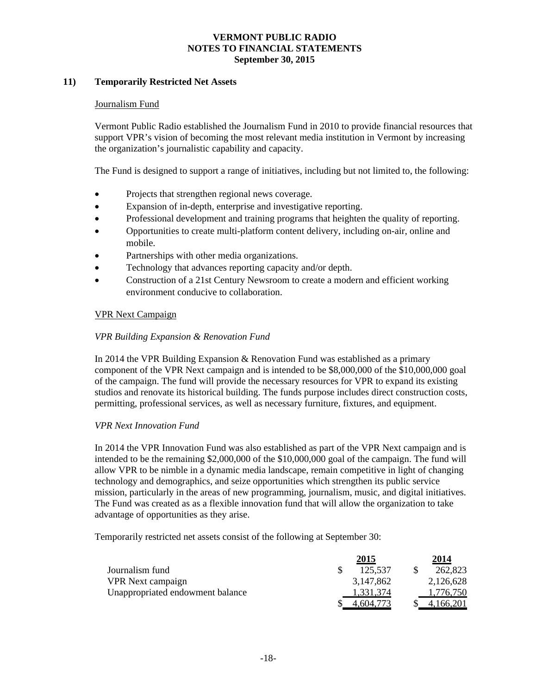## **11) Temporarily Restricted Net Assets**

### Journalism Fund

Vermont Public Radio established the Journalism Fund in 2010 to provide financial resources that support VPR's vision of becoming the most relevant media institution in Vermont by increasing the organization's journalistic capability and capacity.

The Fund is designed to support a range of initiatives, including but not limited to, the following:

- Projects that strengthen regional news coverage.
- Expansion of in-depth, enterprise and investigative reporting.
- Professional development and training programs that heighten the quality of reporting.
- Opportunities to create multi-platform content delivery, including on-air, online and mobile.
- Partnerships with other media organizations.
- Technology that advances reporting capacity and/or depth.
- Construction of a 21st Century Newsroom to create a modern and efficient working environment conducive to collaboration.

## VPR Next Campaign

## *VPR Building Expansion & Renovation Fund*

In 2014 the VPR Building Expansion & Renovation Fund was established as a primary component of the VPR Next campaign and is intended to be \$8,000,000 of the \$10,000,000 goal of the campaign. The fund will provide the necessary resources for VPR to expand its existing studios and renovate its historical building. The funds purpose includes direct construction costs, permitting, professional services, as well as necessary furniture, fixtures, and equipment.

### *VPR Next Innovation Fund*

In 2014 the VPR Innovation Fund was also established as part of the VPR Next campaign and is intended to be the remaining \$2,000,000 of the \$10,000,000 goal of the campaign. The fund will allow VPR to be nimble in a dynamic media landscape, remain competitive in light of changing technology and demographics, and seize opportunities which strengthen its public service mission, particularly in the areas of new programming, journalism, music, and digital initiatives. The Fund was created as as a flexible innovation fund that will allow the organization to take advantage of opportunities as they arise.

Temporarily restricted net assets consist of the following at September 30:

|                                  | 2015      | 2014      |
|----------------------------------|-----------|-----------|
| Journalism fund                  | 125,537   | 262,823   |
| <b>VPR</b> Next campaign         | 3,147,862 | 2,126,628 |
| Unappropriated endowment balance | 1,331,374 | 1,776,750 |
|                                  | 4.604.773 | 4.166.201 |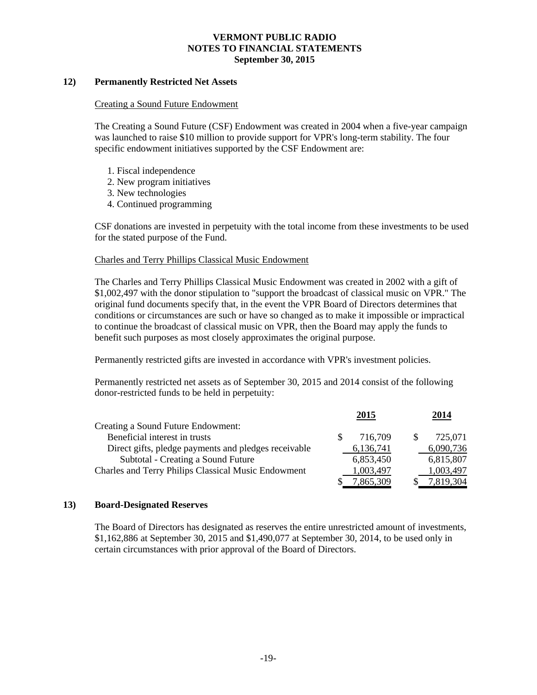## **12) Permanently Restricted Net Assets**

### Creating a Sound Future Endowment

The Creating a Sound Future (CSF) Endowment was created in 2004 when a five-year campaign was launched to raise \$10 million to provide support for VPR's long-term stability. The four specific endowment initiatives supported by the CSF Endowment are:

- 1. Fiscal independence
- 2. New program initiatives
- 3. New technologies
- 4. Continued programming

CSF donations are invested in perpetuity with the total income from these investments to be used for the stated purpose of the Fund.

## Charles and Terry Phillips Classical Music Endowment

The Charles and Terry Phillips Classical Music Endowment was created in 2002 with a gift of \$1,002,497 with the donor stipulation to "support the broadcast of classical music on VPR." The original fund documents specify that, in the event the VPR Board of Directors determines that conditions or circumstances are such or have so changed as to make it impossible or impractical to continue the broadcast of classical music on VPR, then the Board may apply the funds to benefit such purposes as most closely approximates the original purpose.

Permanently restricted gifts are invested in accordance with VPR's investment policies.

Permanently restricted net assets as of September 30, 2015 and 2014 consist of the following donor-restricted funds to be held in perpetuity:

|                                                      | 2015      |    | 2014      |
|------------------------------------------------------|-----------|----|-----------|
| Creating a Sound Future Endowment:                   |           |    |           |
| Beneficial interest in trusts                        | 716.709   | -S | 725,071   |
| Direct gifts, pledge payments and pledges receivable | 6,136,741 |    | 6,090,736 |
| Subtotal - Creating a Sound Future                   | 6,853,450 |    | 6,815,807 |
| Charles and Terry Philips Classical Music Endowment  | 1,003,497 |    | 1,003,497 |
|                                                      | '.865.309 |    | 7.819.304 |

## **13) Board-Designated Reserves**

The Board of Directors has designated as reserves the entire unrestricted amount of investments, \$1,162,886 at September 30, 2015 and \$1,490,077 at September 30, 2014, to be used only in certain circumstances with prior approval of the Board of Directors.